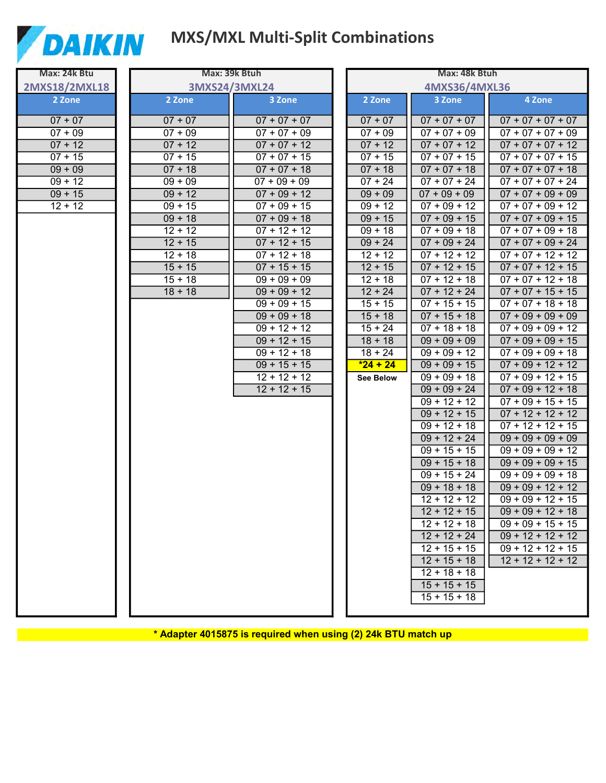

## **MXS/MXL Multi-Split Combinations**

4 Zone

 $07 + 07 + 07 + 07$ 

 $07 + 07 + 07 + 09$ 

 $07 + 07 + 07 + 12$ 

 $07 + 07 + 07 + 15$ 

 $07 + 07 + 07 + 18$ 

 $07 + 07 + 07 + 24$ 

 $07 + 07 + 09 + 09$ 

 $07 + 07 + 09 + 12$ 

 $07 + 07 + 09 + 15$ 

 $07 + 07 + 09 + 18$ 

 $07 + 07 + 09 + 24$ 

 $07 + 07 + 12 + 12$ 

 $07 + 07 + 12 + 15$  $07 + 07 + 12 + 18$ 

 $07 + 07 + 15 + 15$ 

 $07 + 07 + 18 + 18$ 

 $07 + 09 + 09 + 09$  $07 + 09 + 09 + 12$ 

 $07 + 09 + 09 + 15$ 

 $07 + 09 + 09 + 18$ 

 $07 + 09 + 12 + 12$ 

 $07 + 09 + 12 + 15$ 

 $07 + 09 + 12 + 18$ 

 $07 + 09 + 15 + 15$ 

 $07 + 12 + 12 + 12$  $07 + 12 + 12 + 15$ 

 $09 + 09 + 09 + 09$ 

 $09 + 09 + 09 + 12$ 

 $09 + 09 + 09 + 15$ 

 $09 + 09 + 09 + 18$ 

 $09 + 09 + 12 + 12$ 

 $09 + 09 + 12 + 15$ 

 $09 + 09 + 12 + 18$ 

 $09 + 09 + 15 + 15$ 

 $09 + 12 + 12 + 12$  $09 + 12 + 12 + 15$ 

 $12 + 12 + 12 + 12$ 

| Max: 24k Btu         | Max: 39k Btuh |                                  | Max: 48k Btuh          |                                  |                 |
|----------------------|---------------|----------------------------------|------------------------|----------------------------------|-----------------|
| 2MXS18/2MXL18        |               | 3MXS24/3MXL24                    |                        | 4MXS36/4MXL36                    |                 |
| 2 Zone               | 2 Zone        | 3 Zone                           | 2 Zone                 | 3 Zone                           |                 |
| $07 + 07$            | $07 + 07$     | $07 + 07 + 07$                   | $07 + 07$              | $07 + 07 + 07$                   | 07              |
| $07 + 09$            | $07 + 09$     | $07 + 07 + 09$                   | $07 + 09$              | $07 + 07 + 09$                   | 07              |
| $07 + 12$            | $07 + 12$     | $07 + 07 + 12$                   | $07 + 12$              | $07 + 07 + 12$                   | 07              |
| $07 + 15$            | $07 + 15$     | $07 + 07 + 15$                   | $07 + 15$              | $07 + 07 + 15$                   | 07              |
| $09 + 09$            | $07 + 18$     | $07 + 07 + 18$                   | $07 + 18$              | $07 + 07 + 18$                   | 07              |
| $\overline{09} + 12$ | $09 + 09$     | $07 + 09 + 09$                   | $07 + 24$              | $07 + 07 + 24$                   | 07              |
| $09 + 15$            | $09 + 12$     | $07 + 09 + 12$                   | $09 + 09$              | $07 + 09 + 09$                   | 07              |
| $12 + 12$            | $09 + 15$     | $07 + 09 + 15$                   | $09 + 12$              | $07 + 09 + 12$                   | 07              |
|                      | $09 + 18$     | $07 + 09 + 18$                   | $09 + 15$              | $07 + 09 + 15$                   | 07              |
|                      | $12 + 12$     | $07 + 12 + 12$                   | $09 + 18$              | $07 + 09 + 18$                   | 07              |
|                      | $12 + 15$     | $07 + 12 + 15$                   | $09 + 24$              | $07 + 09 + 24$                   | 07              |
|                      | $12 + 18$     | $07 + 12 + 18$                   | $12 + 12$              | $07 + 12 + 12$                   | 07              |
|                      | $15 + 15$     | $07 + 15 + 15$                   | $12 + 15$              | $07 + 12 + 15$                   | 07              |
|                      | $15 + 18$     | $09 + 09 + 09$                   | $12 + 18$              | $07 + 12 + 18$                   | 07              |
|                      | $18 + 18$     | $09 + 09 + 12$                   | $12 + 24$              | $07 + 12 + 24$                   | 07              |
|                      |               | $09 + 09 + 15$                   | $15 + 15$              | $\overline{07 + 15 + 15}$        | 07              |
|                      |               | $09 + 09 + 18$                   | $15 + 18$              | $07 + 15 + 18$                   | 07              |
|                      |               | $09 + 12 + 12$                   | $15 + 24$              | $07 + 18 + 18$<br>$09 + 09 + 09$ | 07              |
|                      |               | $09 + 12 + 15$<br>$09 + 12 + 18$ | $18 + 18$<br>$18 + 24$ | $09 + 09 + 12$                   | 07<br>07        |
|                      |               | $09 + 15 + 15$                   | $*24 + 24$             | $09 + 09 + 15$                   | $\overline{07}$ |
|                      |               | $12 + 12 + 12$                   | <b>See Below</b>       | $09 + 09 + 18$                   | 07              |
|                      |               | $12 + 12 + 15$                   |                        | $09 + 09 + 24$                   | 07              |
|                      |               |                                  |                        | $\overline{09 + 12 + 12}$        | 07              |
|                      |               |                                  |                        | $09 + 12 + 15$                   | 07              |
|                      |               |                                  |                        | $09 + 12 + 18$                   | 07              |
|                      |               |                                  |                        | $09 + 12 + 24$                   | 09              |
|                      |               |                                  |                        | $09 + 15 + 15$                   | 09              |
|                      |               |                                  |                        | $09 + 15 + 18$                   | 09              |
|                      |               |                                  |                        | $09 + 15 + 24$                   | 09              |
|                      |               |                                  |                        | $09 + 18 + 18$                   | 09              |
|                      |               |                                  |                        | $12 + 12 + 12$                   | 09              |
|                      |               |                                  |                        | $12 + 12 + 15$                   | 09              |
|                      |               |                                  |                        | $12 + 12 + 18$                   | 09              |
|                      |               |                                  |                        | $12 + 12 + 24$                   | 09              |
|                      |               |                                  |                        | $12 + 15 + 15$                   | 09              |
|                      |               |                                  |                        | $12 + 15 + 18$                   | 12              |
|                      |               |                                  |                        | $12 + 18 + 18$                   |                 |
|                      |               |                                  |                        | $15 + 15 + 15$                   |                 |
|                      |               |                                  |                        | $15 + 15 + 18$                   |                 |
|                      |               |                                  |                        |                                  |                 |

\* Adapter 4015875 is required when using (2) 24k BTU match up \_\_\_\_\_\_\_\_\_\_\_\_\_\_\_\_\_\_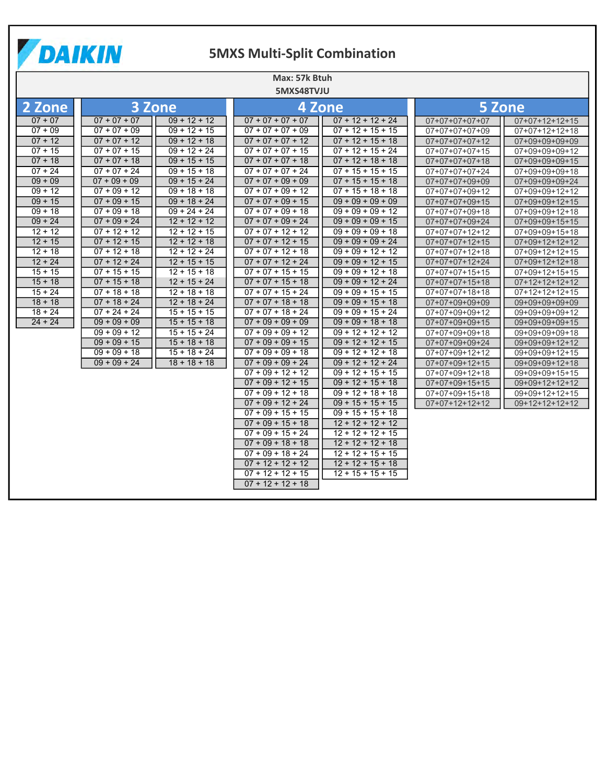

# **5MXS Multi-Split Combination**

| Max: 57k Btuh |                |                |                     |                     |                  |                  |  |  |  |
|---------------|----------------|----------------|---------------------|---------------------|------------------|------------------|--|--|--|
| 5MXS48TVJU    |                |                |                     |                     |                  |                  |  |  |  |
| 2 Zone        |                | 3 Zone         | 4 Zone              |                     | 5 Zone           |                  |  |  |  |
| $07 + 07$     | $07 + 07 + 07$ | $09 + 12 + 12$ | $07 + 07 + 07 + 07$ | $07 + 12 + 12 + 24$ | $07+07+07+07+07$ | $07+07+12+12+15$ |  |  |  |
| $07 + 09$     | $07 + 07 + 09$ | $09 + 12 + 15$ | $07 + 07 + 07 + 09$ | $07 + 12 + 15 + 15$ | 07+07+07+07+09   | $07+07+12+12+18$ |  |  |  |
| $07 + 12$     | $07 + 07 + 12$ | $09 + 12 + 18$ | $07 + 07 + 07 + 12$ | $07 + 12 + 15 + 18$ | $07+07+07+07+12$ | 07+09+09+09+09   |  |  |  |
| $07 + 15$     | $07 + 07 + 15$ | $09 + 12 + 24$ | $07 + 07 + 07 + 15$ | $07 + 12 + 15 + 24$ | $07+07+07+07+15$ | 07+09+09+09+12   |  |  |  |
| $07 + 18$     | $07 + 07 + 18$ | $09 + 15 + 15$ | $07 + 07 + 07 + 18$ | $07 + 12 + 18 + 18$ | $07+07+07+07+18$ | $07+09+09+09+15$ |  |  |  |
| $07 + 24$     | $07 + 07 + 24$ | $09 + 15 + 18$ | $07 + 07 + 07 + 24$ | $07 + 15 + 15 + 15$ | $07+07+07+07+24$ | 07+09+09+09+18   |  |  |  |
| $09 + 09$     | $07 + 09 + 09$ | $09 + 15 + 24$ | $07 + 07 + 09 + 09$ | $07 + 15 + 15 + 18$ | $07+07+07+09+09$ | 07+09+09+09+24   |  |  |  |
| $09 + 12$     | $07 + 09 + 12$ | $09 + 18 + 18$ | $07 + 07 + 09 + 12$ | $07 + 15 + 18 + 18$ | 07+07+07+09+12   | 07+09+09+12+12   |  |  |  |
| $09 + 15$     | $07 + 09 + 15$ | $09 + 18 + 24$ | $07 + 07 + 09 + 15$ | $09 + 09 + 09 + 09$ | $07+07+07+09+15$ | $07+09+09+12+15$ |  |  |  |
| $09 + 18$     | $07 + 09 + 18$ | $09 + 24 + 24$ | $07 + 07 + 09 + 18$ | $09 + 09 + 09 + 12$ | 07+07+07+09+18   | 07+09+09+12+18   |  |  |  |
| $09 + 24$     | $07 + 09 + 24$ | $12 + 12 + 12$ | $07 + 07 + 09 + 24$ | $09 + 09 + 09 + 15$ | $07+07+07+09+24$ | $07+09+09+15+15$ |  |  |  |
| $12 + 12$     | $07 + 12 + 12$ | $12 + 12 + 15$ | $07 + 07 + 12 + 12$ | $09 + 09 + 09 + 18$ | $07+07+07+12+12$ | $07+09+09+15+18$ |  |  |  |
| $12 + 15$     | $07 + 12 + 15$ | $12 + 12 + 18$ | $07 + 07 + 12 + 15$ | $09 + 09 + 09 + 24$ | $07+07+07+12+15$ | $07+09+12+12+12$ |  |  |  |
| $12 + 18$     | $07 + 12 + 18$ | $12 + 12 + 24$ | $07 + 07 + 12 + 18$ | $09 + 09 + 12 + 12$ | $07+07+07+12+18$ | $07+09+12+12+15$ |  |  |  |
| $12 + 24$     | $07 + 12 + 24$ | $12 + 15 + 15$ | $07 + 07 + 12 + 24$ | $09 + 09 + 12 + 15$ | $07+07+07+12+24$ | $07+09+12+12+18$ |  |  |  |
| $15 + 15$     | $07 + 15 + 15$ | $12 + 15 + 18$ | $07 + 07 + 15 + 15$ | $09 + 09 + 12 + 18$ | $07+07+07+15+15$ | $07+09+12+15+15$ |  |  |  |
| $15 + 18$     | $07 + 15 + 18$ | $12 + 15 + 24$ | $07 + 07 + 15 + 18$ | $09 + 09 + 12 + 24$ | $07+07+07+15+18$ | $07+12+12+12+12$ |  |  |  |
| $15 + 24$     | $07 + 18 + 18$ | $12 + 18 + 18$ | $07 + 07 + 15 + 24$ | $09 + 09 + 15 + 15$ | $07+07+07+18+18$ | $07+12+12+12+15$ |  |  |  |
| $18 + 18$     | $07 + 18 + 24$ | $12 + 18 + 24$ | $07 + 07 + 18 + 18$ | $09 + 09 + 15 + 18$ | 07+07+09+09+09   | 09+09+09+09+09   |  |  |  |
| $18 + 24$     | $07 + 24 + 24$ | $15 + 15 + 15$ | $07 + 07 + 18 + 24$ | $09 + 09 + 15 + 24$ | 07+07+09+09+12   | 09+09+09+09+12   |  |  |  |
| $24 + 24$     | $09 + 09 + 09$ | $15 + 15 + 18$ | $07 + 09 + 09 + 09$ | $09 + 09 + 18 + 18$ | $07+07+09+09+15$ | 09+09+09+09+15   |  |  |  |
|               | $09 + 09 + 12$ | $15 + 15 + 24$ | $07 + 09 + 09 + 12$ | $09 + 12 + 12 + 12$ | $07+07+09+09+18$ | 09+09+09+09+18   |  |  |  |
|               | $09 + 09 + 15$ | $15 + 18 + 18$ | $07 + 09 + 09 + 15$ | $09 + 12 + 12 + 15$ | 07+07+09+09+24   | 09+09+09+12+12   |  |  |  |
|               | $09 + 09 + 18$ | $15 + 18 + 24$ | $07 + 09 + 09 + 18$ | $09 + 12 + 12 + 18$ | $07+07+09+12+12$ | $09+09+09+12+15$ |  |  |  |
|               | $09 + 09 + 24$ | $18 + 18 + 18$ | $07 + 09 + 09 + 24$ | $09 + 12 + 12 + 24$ | $07+07+09+12+15$ | 09+09+09+12+18   |  |  |  |
|               |                |                | $07 + 09 + 12 + 12$ | $09 + 12 + 15 + 15$ | $07+07+09+12+18$ | 09+09+09+15+15   |  |  |  |
|               |                |                | $07 + 09 + 12 + 15$ | $09 + 12 + 15 + 18$ | $07+07+09+15+15$ | $09+09+12+12+12$ |  |  |  |
|               |                |                | $07 + 09 + 12 + 18$ | $09 + 12 + 18 + 18$ | $07+07+09+15+18$ | 09+09+12+12+15   |  |  |  |
|               |                |                | $07 + 09 + 12 + 24$ | $09 + 15 + 15 + 15$ | $07+07+12+12+12$ | $09+12+12+12+12$ |  |  |  |
|               |                |                | $07 + 09 + 15 + 15$ | $09 + 15 + 15 + 18$ |                  |                  |  |  |  |
|               |                |                | $07 + 09 + 15 + 18$ | $12 + 12 + 12 + 12$ |                  |                  |  |  |  |
|               |                |                | $07 + 09 + 15 + 24$ | $12 + 12 + 12 + 15$ |                  |                  |  |  |  |
|               |                |                | $07 + 09 + 18 + 18$ | $12 + 12 + 12 + 18$ |                  |                  |  |  |  |
|               |                |                | $07 + 09 + 18 + 24$ | $12 + 12 + 15 + 15$ |                  |                  |  |  |  |
|               |                |                | $07 + 12 + 12 + 12$ | $12 + 12 + 15 + 18$ |                  |                  |  |  |  |
|               |                |                | $07 + 12 + 12 + 15$ | $12 + 15 + 15 + 15$ |                  |                  |  |  |  |
|               |                |                | $07 + 12 + 12 + 18$ |                     |                  |                  |  |  |  |
|               |                |                |                     |                     |                  |                  |  |  |  |